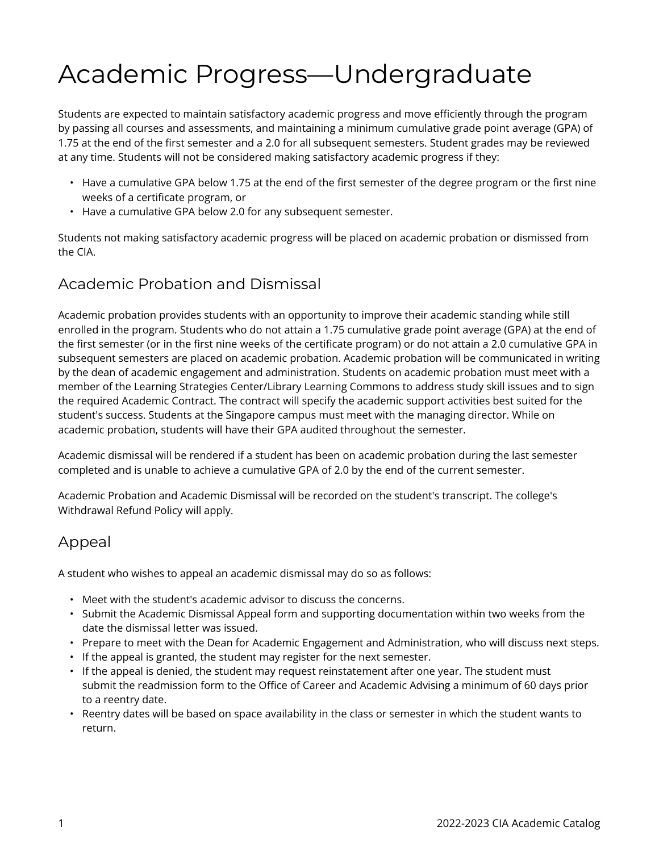## Academic Progress—Undergraduate

Students are expected to maintain satisfactory academic progress and move efficiently through the program by passing all courses and assessments, and maintaining a minimum cumulative grade point average (GPA) of 1.75 at the end of the first semester and a 2.0 for all subsequent semesters. Student grades may be reviewed at any time. Students will not be considered making satisfactory academic progress if they:

- Have a cumulative GPA below 1.75 at the end of the first semester of the degree program or the first nine weeks of a certificate program, or
- Have a cumulative GPA below 2.0 for any subsequent semester.

Students not making satisfactory academic progress will be placed on academic probation or dismissed from the CIA.

## Academic Probation and Dismissal

Academic probation provides students with an opportunity to improve their academic standing while still enrolled in the program. Students who do not attain a 1.75 cumulative grade point average (GPA) at the end of the first semester (or in the first nine weeks of the certificate program) or do not attain a 2.0 cumulative GPA in subsequent semesters are placed on academic probation. Academic probation will be communicated in writing by the dean of academic engagement and administration. Students on academic probation must meet with a member of the Learning Strategies Center/Library Learning Commons to address study skill issues and to sign the required Academic Contract. The contract will specify the academic support activities best suited for the student's success. Students at the Singapore campus must meet with the managing director. While on academic probation, students will have their GPA audited throughout the semester.

Academic dismissal will be rendered if a student has been on academic probation during the last semester completed and is unable to achieve a cumulative GPA of 2.0 by the end of the current semester.

Academic Probation and Academic Dismissal will be recorded on the student's transcript. The college's Withdrawal Refund Policy will apply.

## Appeal

A student who wishes to appeal an academic dismissal may do so as follows:

- Meet with the student's academic advisor to discuss the concerns.
- Submit the Academic Dismissal Appeal form and supporting documentation within two weeks from the date the dismissal letter was issued.
- Prepare to meet with the Dean for Academic Engagement and Administration, who will discuss next steps.
- If the appeal is granted, the student may register for the next semester.
- If the appeal is denied, the student may request reinstatement after one year. The student must submit the readmission form to the Office of Career and Academic Advising a minimum of 60 days prior to a reentry date.
- Reentry dates will be based on space availability in the class or semester in which the student wants to return.